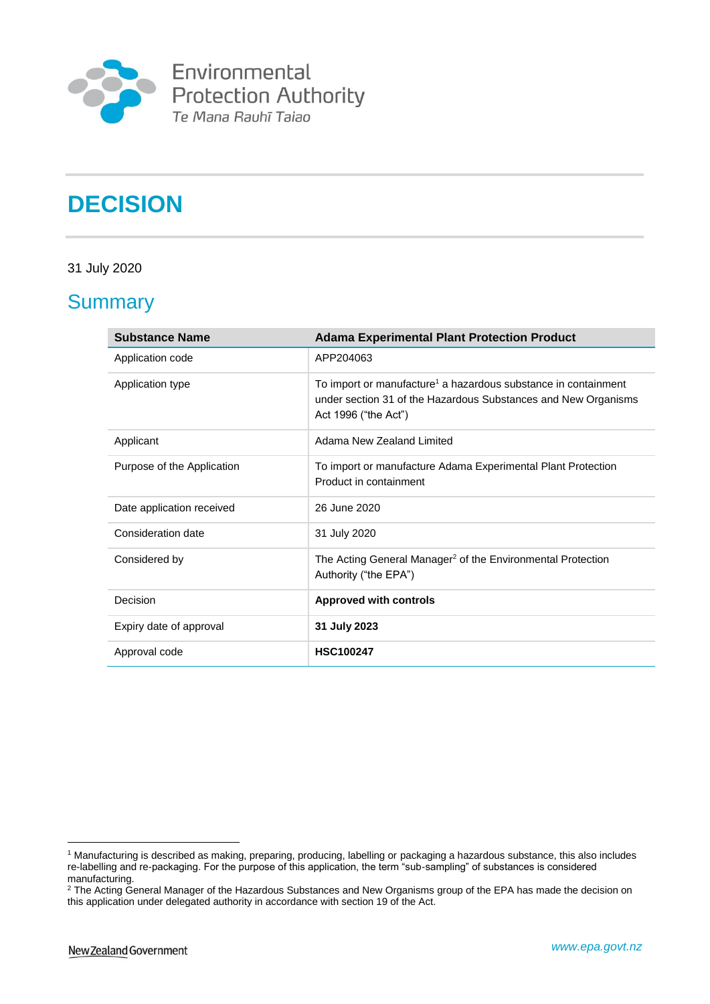

Environmental<br>Protection Authority<br>Te Mana Rauhī Taiao

# **DECISION**

#### 31 July 2020

# **Summary**

| <b>Substance Name</b>      | <b>Adama Experimental Plant Protection Product</b>                                                                                                                   |
|----------------------------|----------------------------------------------------------------------------------------------------------------------------------------------------------------------|
| Application code           | APP204063                                                                                                                                                            |
| Application type           | To import or manufacture <sup>1</sup> a hazardous substance in containment<br>under section 31 of the Hazardous Substances and New Organisms<br>Act 1996 ("the Act") |
| Applicant                  | Adama New Zealand Limited                                                                                                                                            |
| Purpose of the Application | To import or manufacture Adama Experimental Plant Protection<br>Product in containment                                                                               |
| Date application received  | 26 June 2020                                                                                                                                                         |
| Consideration date         | 31 July 2020                                                                                                                                                         |
| Considered by              | The Acting General Manager <sup>2</sup> of the Environmental Protection<br>Authority ("the EPA")                                                                     |
| Decision                   | <b>Approved with controls</b>                                                                                                                                        |
| Expiry date of approval    | 31 July 2023                                                                                                                                                         |
| Approval code              | <b>HSC100247</b>                                                                                                                                                     |

<sup>1</sup> <sup>1</sup> Manufacturing is described as making, preparing, producing, labelling or packaging a hazardous substance, this also includes re-labelling and re-packaging. For the purpose of this application, the term "sub-sampling" of substances is considered manufacturing.

<sup>&</sup>lt;sup>2</sup> The Acting General Manager of the Hazardous Substances and New Organisms group of the EPA has made the decision on this application under delegated authority in accordance with section 19 of the Act.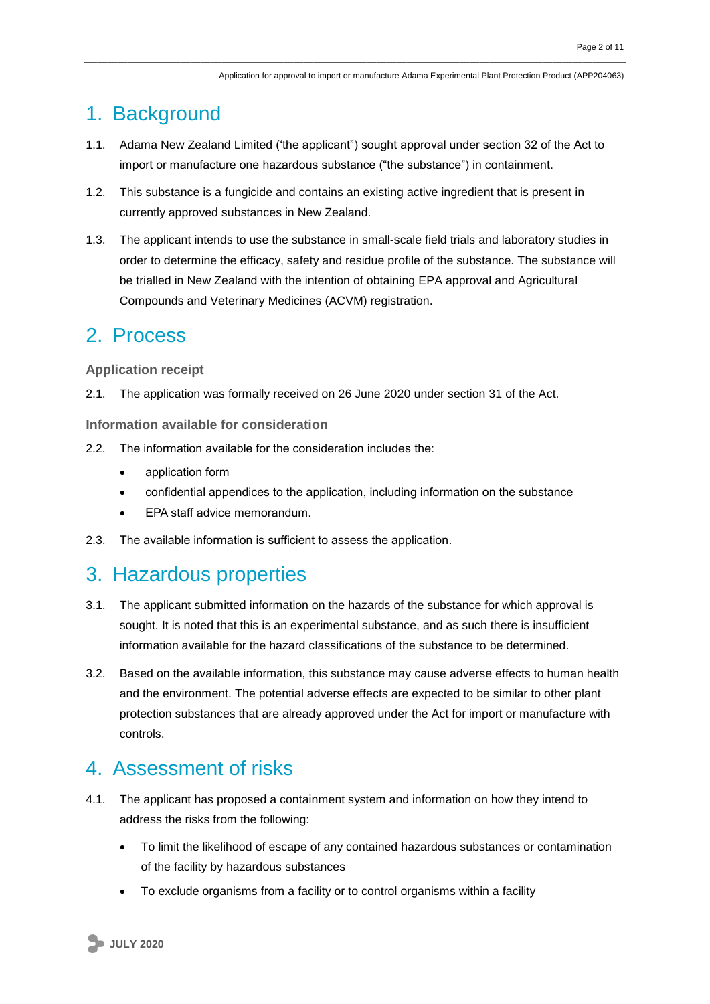## 1. Background

- 1.1. Adama New Zealand Limited ('the applicant") sought approval under section 32 of the Act to import or manufacture one hazardous substance ("the substance") in containment.
- 1.2. This substance is a fungicide and contains an existing active ingredient that is present in currently approved substances in New Zealand.
- 1.3. The applicant intends to use the substance in small-scale field trials and laboratory studies in order to determine the efficacy, safety and residue profile of the substance. The substance will be trialled in New Zealand with the intention of obtaining EPA approval and Agricultural Compounds and Veterinary Medicines (ACVM) registration.

### 2. Process

#### **Application receipt**

2.1. The application was formally received on 26 June 2020 under section 31 of the Act.

**Information available for consideration**

- 2.2. The information available for the consideration includes the:
	- application form
	- confidential appendices to the application, including information on the substance
	- EPA staff advice memorandum.
- 2.3. The available information is sufficient to assess the application.

### 3. Hazardous properties

- 3.1. The applicant submitted information on the hazards of the substance for which approval is sought. It is noted that this is an experimental substance, and as such there is insufficient information available for the hazard classifications of the substance to be determined.
- 3.2. Based on the available information, this substance may cause adverse effects to human health and the environment. The potential adverse effects are expected to be similar to other plant protection substances that are already approved under the Act for import or manufacture with controls.

### 4. Assessment of risks

- 4.1. The applicant has proposed a containment system and information on how they intend to address the risks from the following:
	- To limit the likelihood of escape of any contained hazardous substances or contamination of the facility by hazardous substances
	- To exclude organisms from a facility or to control organisms within a facility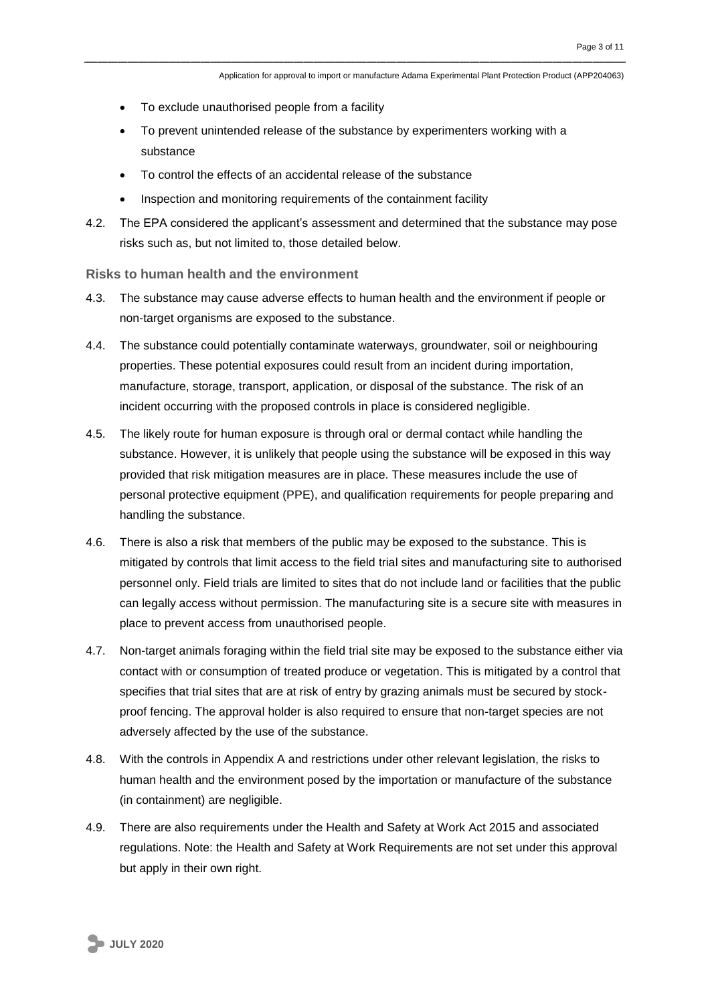- To exclude unauthorised people from a facility
- To prevent unintended release of the substance by experimenters working with a substance
- To control the effects of an accidental release of the substance
- Inspection and monitoring requirements of the containment facility
- 4.2. The EPA considered the applicant's assessment and determined that the substance may pose risks such as, but not limited to, those detailed below.

#### **Risks to human health and the environment**

- 4.3. The substance may cause adverse effects to human health and the environment if people or non-target organisms are exposed to the substance.
- 4.4. The substance could potentially contaminate waterways, groundwater, soil or neighbouring properties. These potential exposures could result from an incident during importation, manufacture, storage, transport, application, or disposal of the substance. The risk of an incident occurring with the proposed controls in place is considered negligible.
- 4.5. The likely route for human exposure is through oral or dermal contact while handling the substance. However, it is unlikely that people using the substance will be exposed in this way provided that risk mitigation measures are in place. These measures include the use of personal protective equipment (PPE), and qualification requirements for people preparing and handling the substance.
- 4.6. There is also a risk that members of the public may be exposed to the substance. This is mitigated by controls that limit access to the field trial sites and manufacturing site to authorised personnel only. Field trials are limited to sites that do not include land or facilities that the public can legally access without permission. The manufacturing site is a secure site with measures in place to prevent access from unauthorised people.
- 4.7. Non-target animals foraging within the field trial site may be exposed to the substance either via contact with or consumption of treated produce or vegetation. This is mitigated by a control that specifies that trial sites that are at risk of entry by grazing animals must be secured by stockproof fencing. The approval holder is also required to ensure that non-target species are not adversely affected by the use of the substance.
- 4.8. With the controls in Appendix A and restrictions under other relevant legislation, the risks to human health and the environment posed by the importation or manufacture of the substance (in containment) are negligible.
- 4.9. There are also requirements under the Health and Safety at Work Act 2015 and associated regulations. Note: the Health and Safety at Work Requirements are not set under this approval but apply in their own right.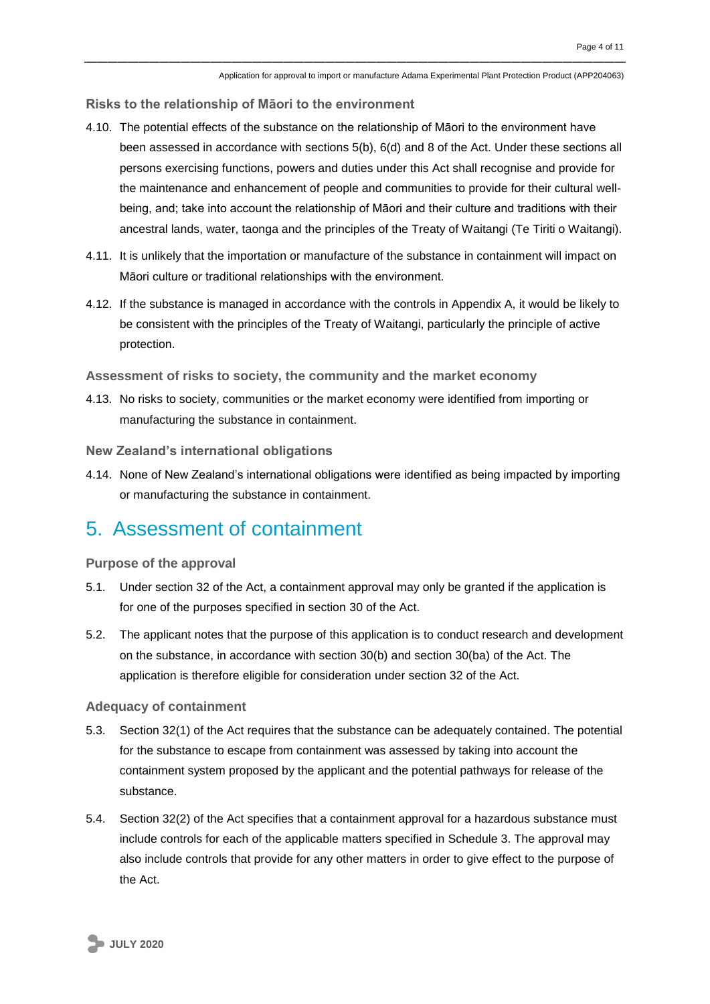**Risks to the relationship of Māori to the environment**

- 4.10. The potential effects of the substance on the relationship of Māori to the environment have been assessed in accordance with sections 5(b), 6(d) and 8 of the Act. Under these sections all persons exercising functions, powers and duties under this Act shall recognise and provide for the maintenance and enhancement of people and communities to provide for their cultural wellbeing, and; take into account the relationship of Māori and their culture and traditions with their ancestral lands, water, taonga and the principles of the Treaty of Waitangi (Te Tiriti o Waitangi).
- 4.11. It is unlikely that the importation or manufacture of the substance in containment will impact on Māori culture or traditional relationships with the environment.
- 4.12. If the substance is managed in accordance with the controls in Appendix A, it would be likely to be consistent with the principles of the Treaty of Waitangi, particularly the principle of active protection.

**Assessment of risks to society, the community and the market economy**

4.13. No risks to society, communities or the market economy were identified from importing or manufacturing the substance in containment.

**New Zealand's international obligations**

4.14. None of New Zealand's international obligations were identified as being impacted by importing or manufacturing the substance in containment.

### 5. Assessment of containment

**Purpose of the approval**

- 5.1. Under section 32 of the Act, a containment approval may only be granted if the application is for one of the purposes specified in section 30 of the Act.
- 5.2. The applicant notes that the purpose of this application is to conduct research and development on the substance, in accordance with section 30(b) and section 30(ba) of the Act. The application is therefore eligible for consideration under section 32 of the Act.

#### **Adequacy of containment**

- 5.3. Section 32(1) of the Act requires that the substance can be adequately contained. The potential for the substance to escape from containment was assessed by taking into account the containment system proposed by the applicant and the potential pathways for release of the substance.
- 5.4. Section 32(2) of the Act specifies that a containment approval for a hazardous substance must include controls for each of the applicable matters specified in Schedule 3. The approval may also include controls that provide for any other matters in order to give effect to the purpose of the Act.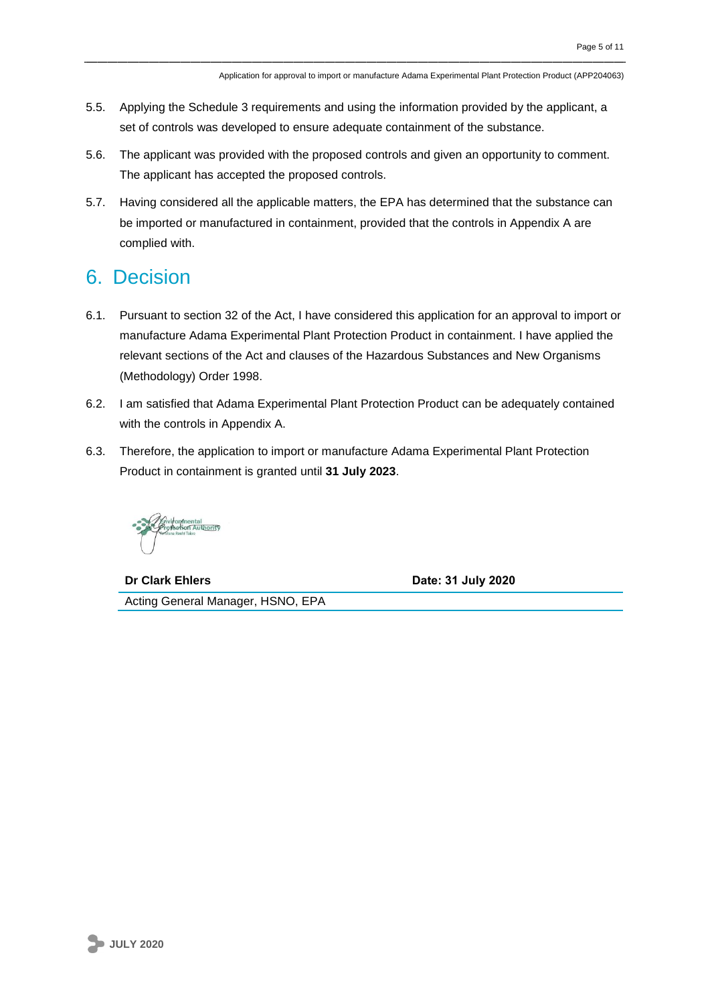- 5.5. Applying the Schedule 3 requirements and using the information provided by the applicant, a set of controls was developed to ensure adequate containment of the substance.
- 5.6. The applicant was provided with the proposed controls and given an opportunity to comment. The applicant has accepted the proposed controls.
- 5.7. Having considered all the applicable matters, the EPA has determined that the substance can be imported or manufactured in containment, provided that the controls in Appendix A are complied with.

# 6. Decision

- 6.1. Pursuant to section 32 of the Act, I have considered this application for an approval to import or manufacture Adama Experimental Plant Protection Product in containment. I have applied the relevant sections of the Act and clauses of the Hazardous Substances and New Organisms (Methodology) Order 1998.
- 6.2. I am satisfied that Adama Experimental Plant Protection Product can be adequately contained with the controls in Appendix A.
- 6.3. Therefore, the application to import or manufacture Adama Experimental Plant Protection Product in containment is granted until **31 July 2023**.

**Dr Clark Ehlers Date: 31 July 2020**

Acting General Manager, HSNO, EPA

**JULY 2020**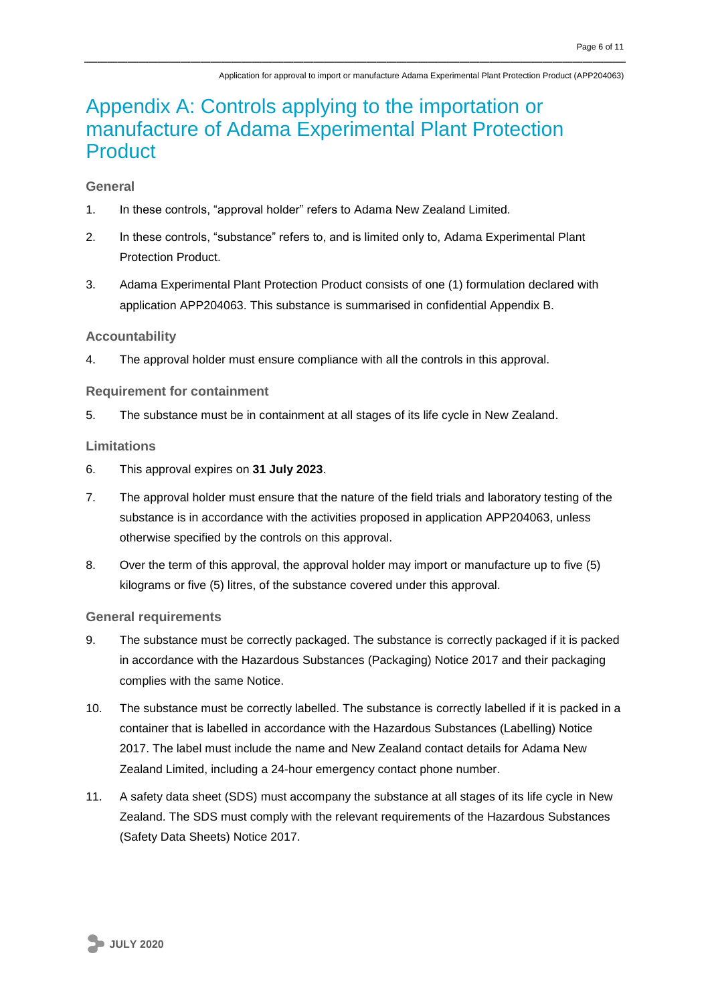# Appendix A: Controls applying to the importation or manufacture of Adama Experimental Plant Protection **Product**

#### **General**

- 1. In these controls, "approval holder" refers to Adama New Zealand Limited.
- 2. In these controls, "substance" refers to, and is limited only to, Adama Experimental Plant Protection Product.
- 3. Adama Experimental Plant Protection Product consists of one (1) formulation declared with application APP204063. This substance is summarised in confidential Appendix B.

#### **Accountability**

4. The approval holder must ensure compliance with all the controls in this approval.

#### **Requirement for containment**

5. The substance must be in containment at all stages of its life cycle in New Zealand.

#### **Limitations**

- 6. This approval expires on **31 July 2023**.
- 7. The approval holder must ensure that the nature of the field trials and laboratory testing of the substance is in accordance with the activities proposed in application APP204063, unless otherwise specified by the controls on this approval.
- 8. Over the term of this approval, the approval holder may import or manufacture up to five (5) kilograms or five (5) litres, of the substance covered under this approval.

#### **General requirements**

- 9. The substance must be correctly packaged. The substance is correctly packaged if it is packed in accordance with the Hazardous Substances (Packaging) Notice 2017 and their packaging complies with the same Notice.
- 10. The substance must be correctly labelled. The substance is correctly labelled if it is packed in a container that is labelled in accordance with the Hazardous Substances (Labelling) Notice 2017. The label must include the name and New Zealand contact details for Adama New Zealand Limited, including a 24-hour emergency contact phone number.
- 11. A safety data sheet (SDS) must accompany the substance at all stages of its life cycle in New Zealand. The SDS must comply with the relevant requirements of the Hazardous Substances (Safety Data Sheets) Notice 2017.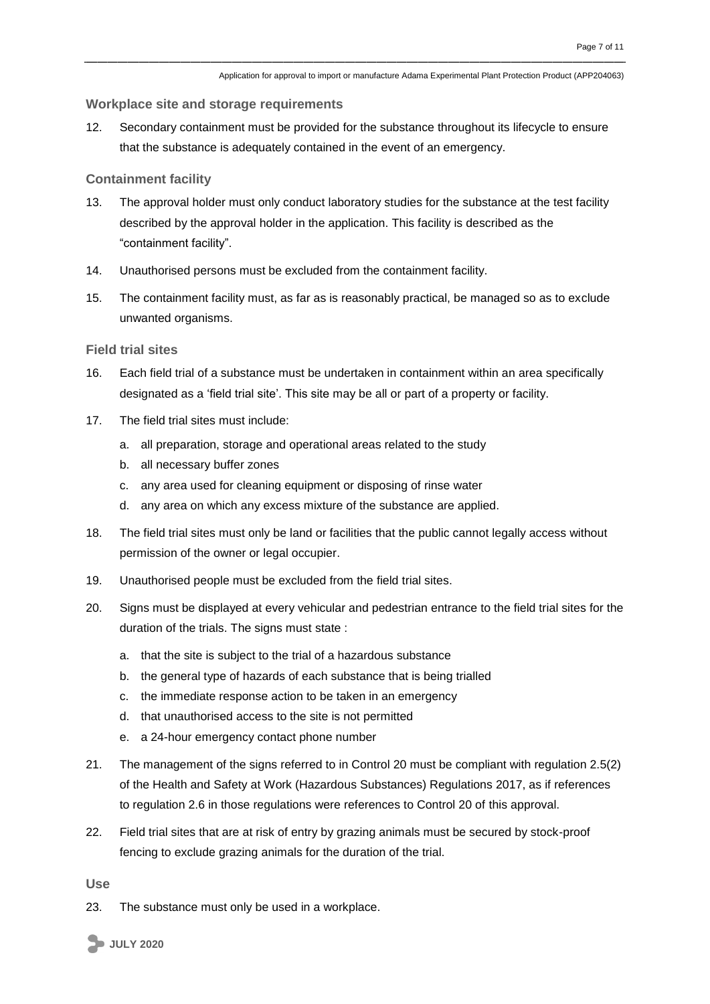#### **Workplace site and storage requirements**

12. Secondary containment must be provided for the substance throughout its lifecycle to ensure that the substance is adequately contained in the event of an emergency.

#### **Containment facility**

- 13. The approval holder must only conduct laboratory studies for the substance at the test facility described by the approval holder in the application. This facility is described as the "containment facility".
- 14. Unauthorised persons must be excluded from the containment facility.
- 15. The containment facility must, as far as is reasonably practical, be managed so as to exclude unwanted organisms.

#### **Field trial sites**

- 16. Each field trial of a substance must be undertaken in containment within an area specifically designated as a 'field trial site'. This site may be all or part of a property or facility.
- 17. The field trial sites must include:
	- a. all preparation, storage and operational areas related to the study
	- b. all necessary buffer zones
	- c. any area used for cleaning equipment or disposing of rinse water
	- d. any area on which any excess mixture of the substance are applied.
- 18. The field trial sites must only be land or facilities that the public cannot legally access without permission of the owner or legal occupier.
- 19. Unauthorised people must be excluded from the field trial sites.
- 20. Signs must be displayed at every vehicular and pedestrian entrance to the field trial sites for the duration of the trials. The signs must state :
	- a. that the site is subject to the trial of a hazardous substance
	- b. the general type of hazards of each substance that is being trialled
	- c. the immediate response action to be taken in an emergency
	- d. that unauthorised access to the site is not permitted
	- e. a 24-hour emergency contact phone number
- 21. The management of the signs referred to in Control 20 must be compliant with regulation 2.5(2) of the Health and Safety at Work (Hazardous Substances) Regulations 2017, as if references to regulation 2.6 in those regulations were references to Control 20 of this approval.
- 22. Field trial sites that are at risk of entry by grazing animals must be secured by stock-proof fencing to exclude grazing animals for the duration of the trial.

**Use**

23. The substance must only be used in a workplace.

**JULY 2020**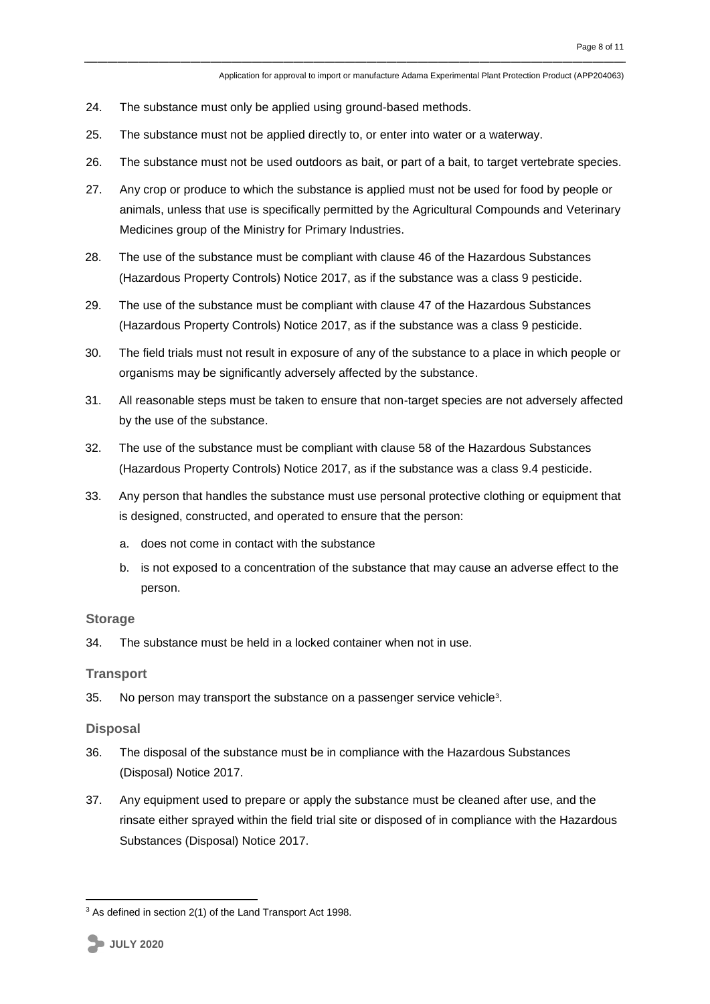- 24. The substance must only be applied using ground-based methods.
- 25. The substance must not be applied directly to, or enter into water or a waterway.
- 26. The substance must not be used outdoors as bait, or part of a bait, to target vertebrate species.
- 27. Any crop or produce to which the substance is applied must not be used for food by people or animals, unless that use is specifically permitted by the Agricultural Compounds and Veterinary Medicines group of the Ministry for Primary Industries.
- 28. The use of the substance must be compliant with clause 46 of the Hazardous Substances (Hazardous Property Controls) Notice 2017, as if the substance was a class 9 pesticide.
- 29. The use of the substance must be compliant with clause 47 of the Hazardous Substances (Hazardous Property Controls) Notice 2017, as if the substance was a class 9 pesticide.
- 30. The field trials must not result in exposure of any of the substance to a place in which people or organisms may be significantly adversely affected by the substance.
- 31. All reasonable steps must be taken to ensure that non-target species are not adversely affected by the use of the substance.
- 32. The use of the substance must be compliant with clause 58 of the Hazardous Substances (Hazardous Property Controls) Notice 2017, as if the substance was a class 9.4 pesticide.
- 33. Any person that handles the substance must use personal protective clothing or equipment that is designed, constructed, and operated to ensure that the person:
	- a. does not come in contact with the substance
	- b. is not exposed to a concentration of the substance that may cause an adverse effect to the person.

#### **Storage**

34. The substance must be held in a locked container when not in use.

#### **Transport**

35. No person may transport the substance on a passenger service vehicle<sup>3</sup>.

#### **Disposal**

- 36. The disposal of the substance must be in compliance with the Hazardous Substances (Disposal) Notice 2017.
- 37. Any equipment used to prepare or apply the substance must be cleaned after use, and the rinsate either sprayed within the field trial site or disposed of in compliance with the Hazardous Substances (Disposal) Notice 2017.

<u>.</u>

<sup>&</sup>lt;sup>3</sup> As defined in section 2(1) of the Land Transport Act 1998.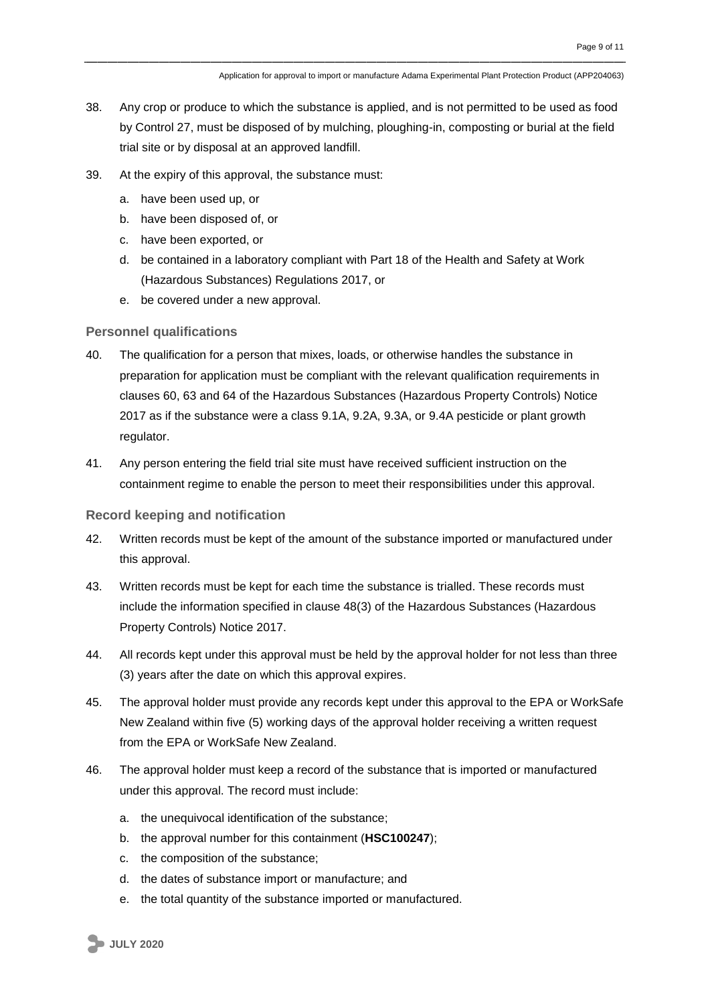- 38. Any crop or produce to which the substance is applied, and is not permitted to be used as food by Control 27, must be disposed of by mulching, ploughing-in, composting or burial at the field trial site or by disposal at an approved landfill.
- 39. At the expiry of this approval, the substance must:
	- a. have been used up, or
	- b. have been disposed of, or
	- c. have been exported, or
	- d. be contained in a laboratory compliant with Part 18 of the Health and Safety at Work (Hazardous Substances) Regulations 2017, or
	- e. be covered under a new approval.

#### **Personnel qualifications**

- 40. The qualification for a person that mixes, loads, or otherwise handles the substance in preparation for application must be compliant with the relevant qualification requirements in clauses 60, 63 and 64 of the Hazardous Substances (Hazardous Property Controls) Notice 2017 as if the substance were a class 9.1A, 9.2A, 9.3A, or 9.4A pesticide or plant growth regulator.
- 41. Any person entering the field trial site must have received sufficient instruction on the containment regime to enable the person to meet their responsibilities under this approval.

#### **Record keeping and notification**

- 42. Written records must be kept of the amount of the substance imported or manufactured under this approval.
- 43. Written records must be kept for each time the substance is trialled. These records must include the information specified in clause 48(3) of the Hazardous Substances (Hazardous Property Controls) Notice 2017.
- 44. All records kept under this approval must be held by the approval holder for not less than three (3) years after the date on which this approval expires.
- 45. The approval holder must provide any records kept under this approval to the EPA or WorkSafe New Zealand within five (5) working days of the approval holder receiving a written request from the EPA or WorkSafe New Zealand.
- 46. The approval holder must keep a record of the substance that is imported or manufactured under this approval. The record must include:
	- a. the unequivocal identification of the substance;
	- b. the approval number for this containment (**HSC100247**);
	- c. the composition of the substance;
	- d. the dates of substance import or manufacture; and
	- e. the total quantity of the substance imported or manufactured.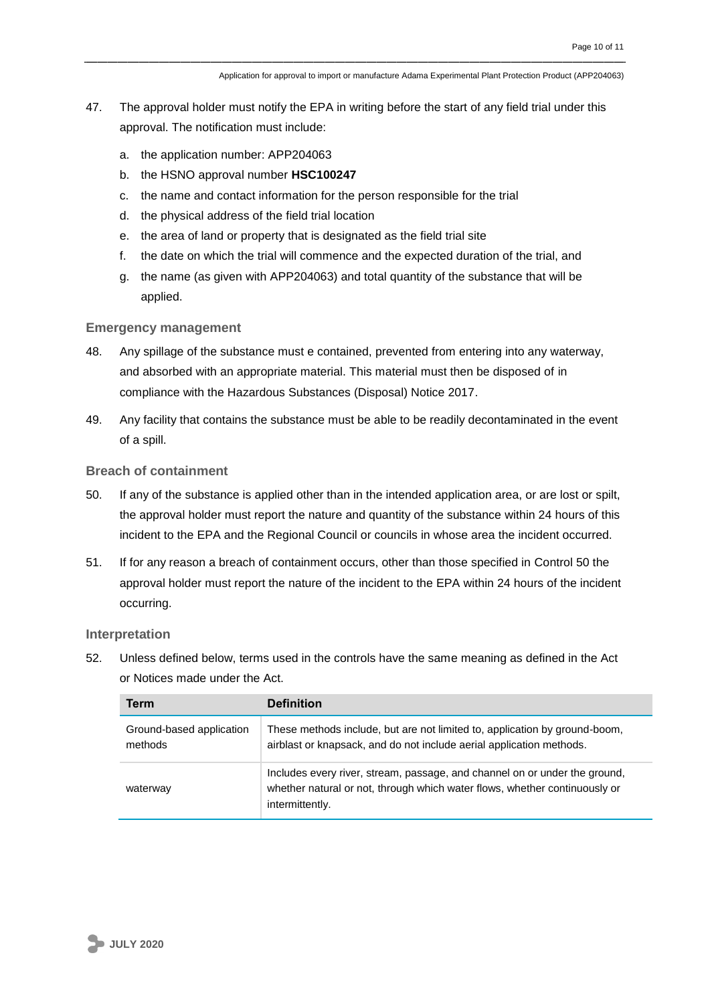Application for approval to import or manufacture Adama Experimental Plant Protection Product (APP204063)

- 47. The approval holder must notify the EPA in writing before the start of any field trial under this approval. The notification must include:
	- a. the application number: APP204063
	- b. the HSNO approval number **HSC100247**
	- c. the name and contact information for the person responsible for the trial
	- d. the physical address of the field trial location
	- e. the area of land or property that is designated as the field trial site
	- f. the date on which the trial will commence and the expected duration of the trial, and
	- g. the name (as given with APP204063) and total quantity of the substance that will be applied.

#### **Emergency management**

- 48. Any spillage of the substance must e contained, prevented from entering into any waterway, and absorbed with an appropriate material. This material must then be disposed of in compliance with the Hazardous Substances (Disposal) Notice 2017.
- 49. Any facility that contains the substance must be able to be readily decontaminated in the event of a spill.

#### **Breach of containment**

- 50. If any of the substance is applied other than in the intended application area, or are lost or spilt, the approval holder must report the nature and quantity of the substance within 24 hours of this incident to the EPA and the Regional Council or councils in whose area the incident occurred.
- 51. If for any reason a breach of containment occurs, other than those specified in Control 50 the approval holder must report the nature of the incident to the EPA within 24 hours of the incident occurring.

#### **Interpretation**

52. Unless defined below, terms used in the controls have the same meaning as defined in the Act or Notices made under the Act.

| <b>Term</b>                         | <b>Definition</b>                                                                                                                                                           |
|-------------------------------------|-----------------------------------------------------------------------------------------------------------------------------------------------------------------------------|
| Ground-based application<br>methods | These methods include, but are not limited to, application by ground-boom,<br>airblast or knapsack, and do not include aerial application methods.                          |
| waterway                            | Includes every river, stream, passage, and channel on or under the ground,<br>whether natural or not, through which water flows, whether continuously or<br>intermittently. |